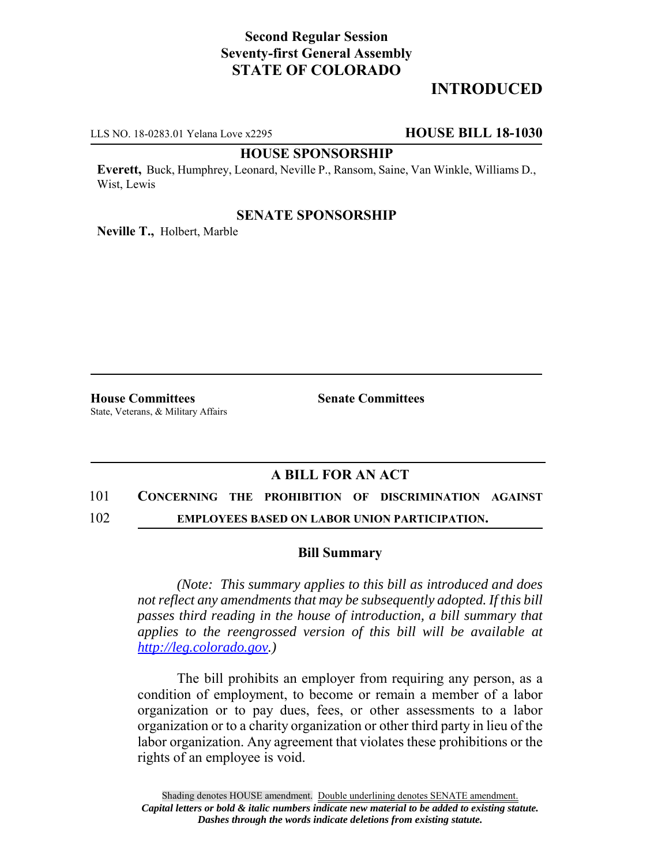# **Second Regular Session Seventy-first General Assembly STATE OF COLORADO**

# **INTRODUCED**

LLS NO. 18-0283.01 Yelana Love x2295 **HOUSE BILL 18-1030**

#### **HOUSE SPONSORSHIP**

**Everett,** Buck, Humphrey, Leonard, Neville P., Ransom, Saine, Van Winkle, Williams D., Wist, Lewis

#### **SENATE SPONSORSHIP**

**Neville T.,** Holbert, Marble

**House Committees Senate Committees** State, Veterans, & Military Affairs

## **A BILL FOR AN ACT**

## 101 **CONCERNING THE PROHIBITION OF DISCRIMINATION AGAINST**

102 **EMPLOYEES BASED ON LABOR UNION PARTICIPATION.**

### **Bill Summary**

*(Note: This summary applies to this bill as introduced and does not reflect any amendments that may be subsequently adopted. If this bill passes third reading in the house of introduction, a bill summary that applies to the reengrossed version of this bill will be available at http://leg.colorado.gov.)*

The bill prohibits an employer from requiring any person, as a condition of employment, to become or remain a member of a labor organization or to pay dues, fees, or other assessments to a labor organization or to a charity organization or other third party in lieu of the labor organization. Any agreement that violates these prohibitions or the rights of an employee is void.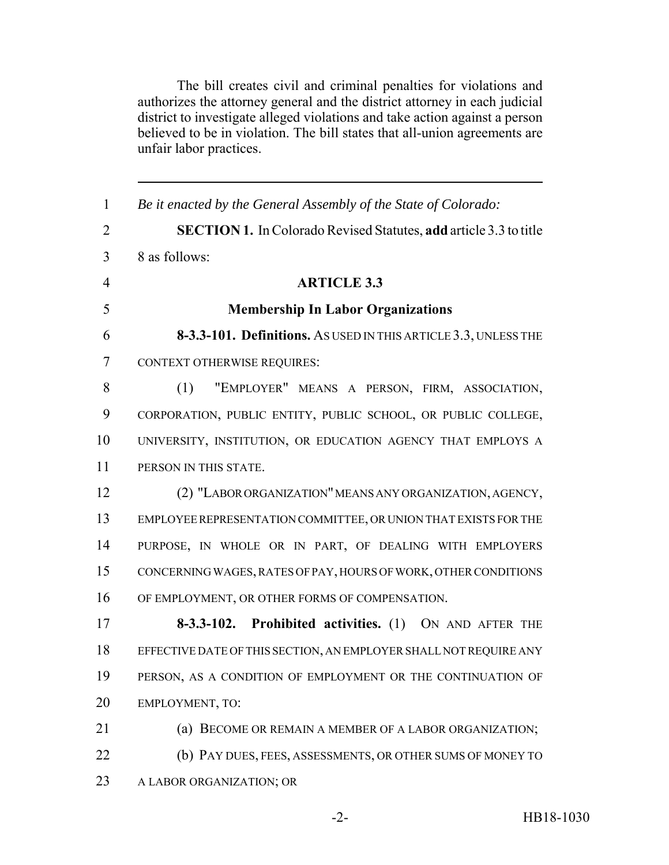The bill creates civil and criminal penalties for violations and authorizes the attorney general and the district attorney in each judicial district to investigate alleged violations and take action against a person believed to be in violation. The bill states that all-union agreements are unfair labor practices.

 *Be it enacted by the General Assembly of the State of Colorado:* **SECTION 1.** In Colorado Revised Statutes, **add** article 3.3 to title 8 as follows: **ARTICLE 3.3 Membership In Labor Organizations 8-3.3-101. Definitions.** AS USED IN THIS ARTICLE 3.3, UNLESS THE CONTEXT OTHERWISE REQUIRES: (1) "EMPLOYER" MEANS A PERSON, FIRM, ASSOCIATION, CORPORATION, PUBLIC ENTITY, PUBLIC SCHOOL, OR PUBLIC COLLEGE, UNIVERSITY, INSTITUTION, OR EDUCATION AGENCY THAT EMPLOYS A PERSON IN THIS STATE. (2) "LABOR ORGANIZATION" MEANS ANY ORGANIZATION, AGENCY, EMPLOYEE REPRESENTATION COMMITTEE, OR UNION THAT EXISTS FOR THE PURPOSE, IN WHOLE OR IN PART, OF DEALING WITH EMPLOYERS CONCERNING WAGES, RATES OF PAY, HOURS OF WORK, OTHER CONDITIONS OF EMPLOYMENT, OR OTHER FORMS OF COMPENSATION. **8-3.3-102. Prohibited activities.** (1) ON AND AFTER THE EFFECTIVE DATE OF THIS SECTION, AN EMPLOYER SHALL NOT REQUIRE ANY PERSON, AS A CONDITION OF EMPLOYMENT OR THE CONTINUATION OF EMPLOYMENT, TO: (a) BECOME OR REMAIN A MEMBER OF A LABOR ORGANIZATION; (b) PAY DUES, FEES, ASSESSMENTS, OR OTHER SUMS OF MONEY TO A LABOR ORGANIZATION; OR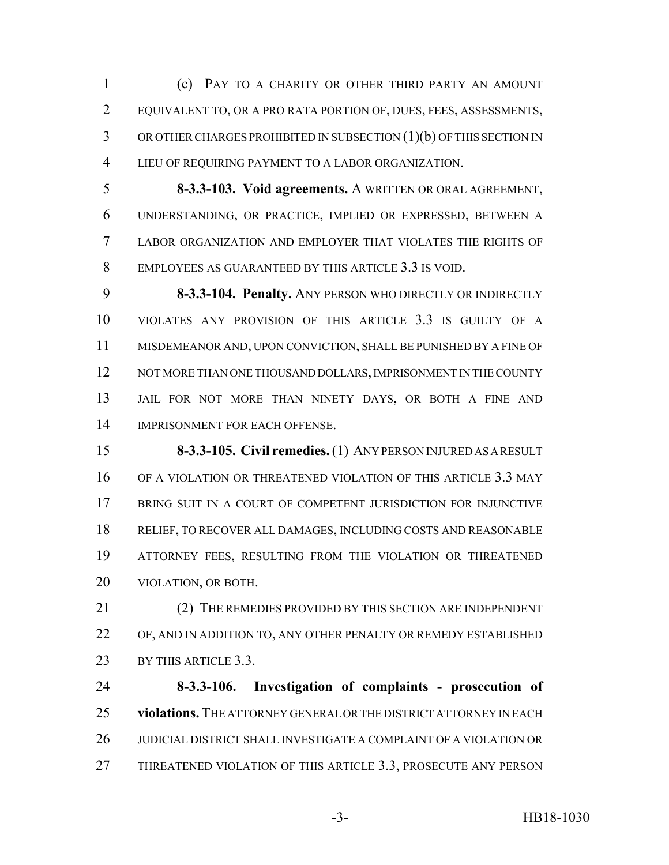(c) PAY TO A CHARITY OR OTHER THIRD PARTY AN AMOUNT EQUIVALENT TO, OR A PRO RATA PORTION OF, DUES, FEES, ASSESSMENTS, OR OTHER CHARGES PROHIBITED IN SUBSECTION (1)(b) OF THIS SECTION IN LIEU OF REQUIRING PAYMENT TO A LABOR ORGANIZATION.

 **8-3.3-103. Void agreements.** A WRITTEN OR ORAL AGREEMENT, UNDERSTANDING, OR PRACTICE, IMPLIED OR EXPRESSED, BETWEEN A LABOR ORGANIZATION AND EMPLOYER THAT VIOLATES THE RIGHTS OF EMPLOYEES AS GUARANTEED BY THIS ARTICLE 3.3 IS VOID.

 **8-3.3-104. Penalty.** ANY PERSON WHO DIRECTLY OR INDIRECTLY VIOLATES ANY PROVISION OF THIS ARTICLE 3.3 IS GUILTY OF A MISDEMEANOR AND, UPON CONVICTION, SHALL BE PUNISHED BY A FINE OF 12 NOT MORE THAN ONE THOUSAND DOLLARS, IMPRISONMENT IN THE COUNTY JAIL FOR NOT MORE THAN NINETY DAYS, OR BOTH A FINE AND IMPRISONMENT FOR EACH OFFENSE.

 **8-3.3-105. Civil remedies.** (1) ANY PERSON INJURED AS A RESULT OF A VIOLATION OR THREATENED VIOLATION OF THIS ARTICLE 3.3 MAY BRING SUIT IN A COURT OF COMPETENT JURISDICTION FOR INJUNCTIVE RELIEF, TO RECOVER ALL DAMAGES, INCLUDING COSTS AND REASONABLE ATTORNEY FEES, RESULTING FROM THE VIOLATION OR THREATENED VIOLATION, OR BOTH.

21 (2) THE REMEDIES PROVIDED BY THIS SECTION ARE INDEPENDENT OF, AND IN ADDITION TO, ANY OTHER PENALTY OR REMEDY ESTABLISHED 23 BY THIS ARTICLE 3.3.

 **8-3.3-106. Investigation of complaints - prosecution of violations.** THE ATTORNEY GENERAL OR THE DISTRICT ATTORNEY IN EACH JUDICIAL DISTRICT SHALL INVESTIGATE A COMPLAINT OF A VIOLATION OR THREATENED VIOLATION OF THIS ARTICLE 3.3, PROSECUTE ANY PERSON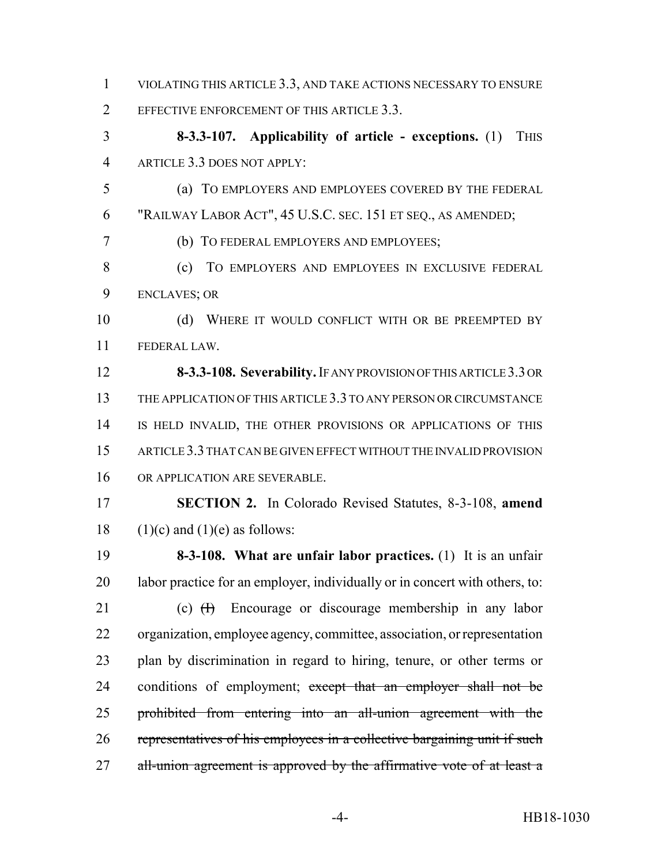VIOLATING THIS ARTICLE 3.3, AND TAKE ACTIONS NECESSARY TO ENSURE 2 EFFECTIVE ENFORCEMENT OF THIS ARTICLE 3.3.

 **8-3.3-107. Applicability of article - exceptions.** (1) THIS ARTICLE 3.3 DOES NOT APPLY:

 (a) TO EMPLOYERS AND EMPLOYEES COVERED BY THE FEDERAL "RAILWAY LABOR ACT", 45 U.S.C. SEC. 151 ET SEQ., AS AMENDED;

(b) TO FEDERAL EMPLOYERS AND EMPLOYEES;

 (c) TO EMPLOYERS AND EMPLOYEES IN EXCLUSIVE FEDERAL ENCLAVES; OR

10 (d) WHERE IT WOULD CONFLICT WITH OR BE PREEMPTED BY FEDERAL LAW.

 **8-3.3-108. Severability.** IF ANY PROVISION OF THIS ARTICLE 3.3 OR 13 THE APPLICATION OF THIS ARTICLE 3.3 TO ANY PERSON OR CIRCUMSTANCE IS HELD INVALID, THE OTHER PROVISIONS OR APPLICATIONS OF THIS ARTICLE 3.3 THAT CAN BE GIVEN EFFECT WITHOUT THE INVALID PROVISION OR APPLICATION ARE SEVERABLE.

 **SECTION 2.** In Colorado Revised Statutes, 8-3-108, **amend** 18 (1)(c) and (1)(e) as follows:

 **8-3-108. What are unfair labor practices.** (1) It is an unfair 20 labor practice for an employer, individually or in concert with others, to:

21 (c) <del>(I)</del> Encourage or discourage membership in any labor organization, employee agency, committee, association, or representation plan by discrimination in regard to hiring, tenure, or other terms or 24 conditions of employment; except that an employer shall not be prohibited from entering into an all-union agreement with the representatives of his employees in a collective bargaining unit if such 27 all-union agreement is approved by the affirmative vote of at least a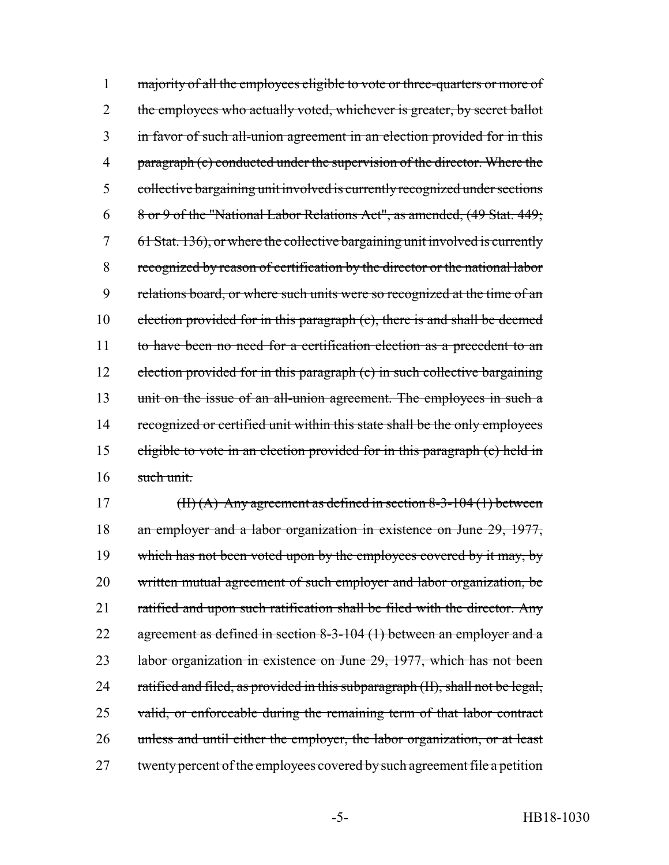1 majority of all the employees eligible to vote or three-quarters or more of 2 the employees who actually voted, whichever is greater, by secret ballot 3 in favor of such all-union agreement in an election provided for in this 4 paragraph (c) conducted under the supervision of the director. Where the 5 collective bargaining unit involved is currently recognized under sections 6 8 or 9 of the "National Labor Relations Act", as amended, (49 Stat. 449; 7 61 Stat. 136), or where the collective bargaining unit involved is currently 8 recognized by reason of certification by the director or the national labor 9 relations board, or where such units were so recognized at the time of an 10 election provided for in this paragraph (c), there is and shall be deemed 11 to have been no need for a certification election as a precedent to an 12 election provided for in this paragraph (c) in such collective bargaining 13 unit on the issue of an all-union agreement. The employees in such a 14 recognized or certified unit within this state shall be the only employees 15 eligible to vote in an election provided for in this paragraph (c) held in 16 such unit.

17 (II)  $(A)$  Any agreement as defined in section 8-3-104 (1) between 18 an employer and a labor organization in existence on June 29, 1977, 19 which has not been voted upon by the employees covered by it may, by 20 written mutual agreement of such employer and labor organization, be 21 ratified and upon such ratification shall be filed with the director. Any 22 agreement as defined in section 8-3-104 (1) between an employer and a 23 labor organization in existence on June 29, 1977, which has not been 24 ratified and filed, as provided in this subparagraph (II), shall not be legal, 25 valid, or enforceable during the remaining term of that labor contract 26 unless and until either the employer, the labor organization, or at least 27 twenty percent of the employees covered by such agreement file a petition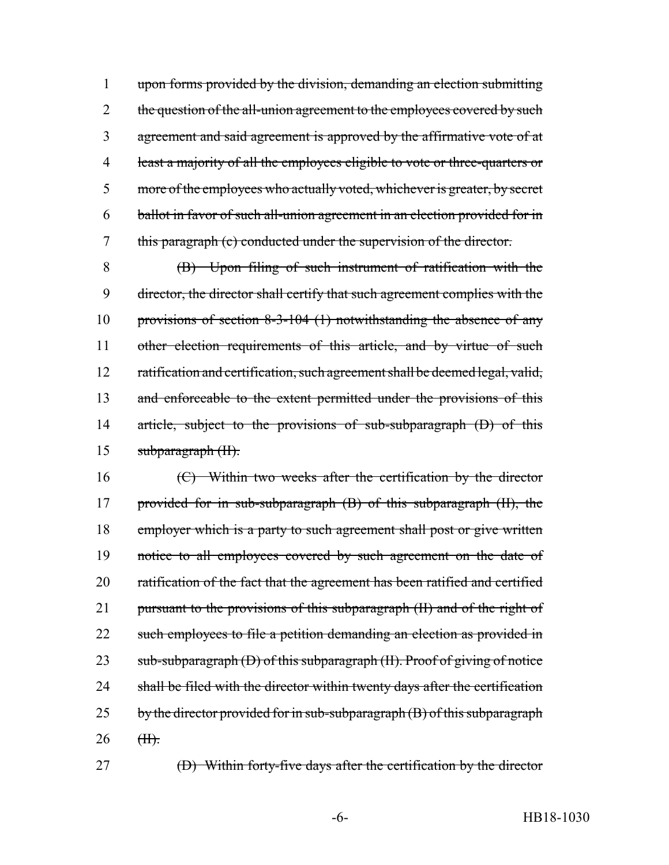upon forms provided by the division, demanding an election submitting 2 the question of the all-union agreement to the employees covered by such agreement and said agreement is approved by the affirmative vote of at least a majority of all the employees eligible to vote or three-quarters or 5 more of the employees who actually voted, whichever is greater, by secret ballot in favor of such all-union agreement in an election provided for in this paragraph (c) conducted under the supervision of the director.

8 (B) Upon filing of such instrument of ratification with the 9 director, the director shall certify that such agreement complies with the 10 provisions of section 8-3-104 (1) notwithstanding the absence of any 11 other election requirements of this article, and by virtue of such 12 ratification and certification, such agreement shall be deemed legal, valid, 13 and enforceable to the extent permitted under the provisions of this 14 article, subject to the provisions of sub-subparagraph (D) of this 15 subparagraph (II).

16 (C) Within two weeks after the certification by the director 17 provided for in sub-subparagraph (B) of this subparagraph (II), the 18 employer which is a party to such agreement shall post or give written 19 notice to all employees covered by such agreement on the date of 20 ratification of the fact that the agreement has been ratified and certified 21 pursuant to the provisions of this subparagraph (II) and of the right of 22 such employees to file a petition demanding an election as provided in 23 sub-subparagraph (D) of this subparagraph (II). Proof of giving of notice 24 shall be filed with the director within twenty days after the certification  $25$  by the director provided for in sub-subparagraph  $(B)$  of this subparagraph  $26$  <del>(II).</del>

27 (D) Within forty-five days after the certification by the director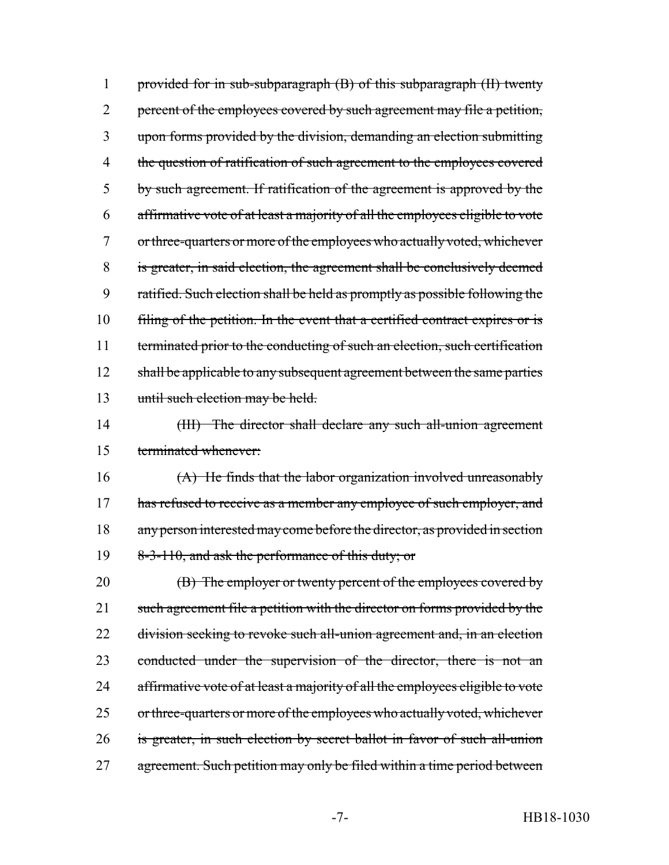1 provided for in sub-subparagraph (B) of this subparagraph (II) twenty 2 percent of the employees covered by such agreement may file a petition, 3 upon forms provided by the division, demanding an election submitting 4 the question of ratification of such agreement to the employees covered 5 by such agreement. If ratification of the agreement is approved by the 6 affirmative vote of at least a majority of all the employees eligible to vote 7 or three-quarters or more of the employees who actually voted, whichever 8 is greater, in said election, the agreement shall be conclusively deemed 9 ratified. Such election shall be held as promptly as possible following the 10 filing of the petition. In the event that a certified contract expires or is 11 terminated prior to the conducting of such an election, such certification 12 shall be applicable to any subsequent agreement between the same parties 13 until such election may be held.

14 (III) The director shall declare any such all-union agreement 15 terminated whenever:

16 (A) He finds that the labor organization involved unreasonably 17 has refused to receive as a member any employee of such employer, and 18 any person interested may come before the director, as provided in section 19 8-3-110, and ask the performance of this duty; or

20 **(B)** The employer or twenty percent of the employees covered by 21 such agreement file a petition with the director on forms provided by the 22 division seeking to revoke such all-union agreement and, in an election 23 conducted under the supervision of the director, there is not an 24 affirmative vote of at least a majority of all the employees eligible to vote 25 or three-quarters or more of the employees who actually voted, whichever 26 is greater, in such election by secret ballot in favor of such all-union 27 agreement. Such petition may only be filed within a time period between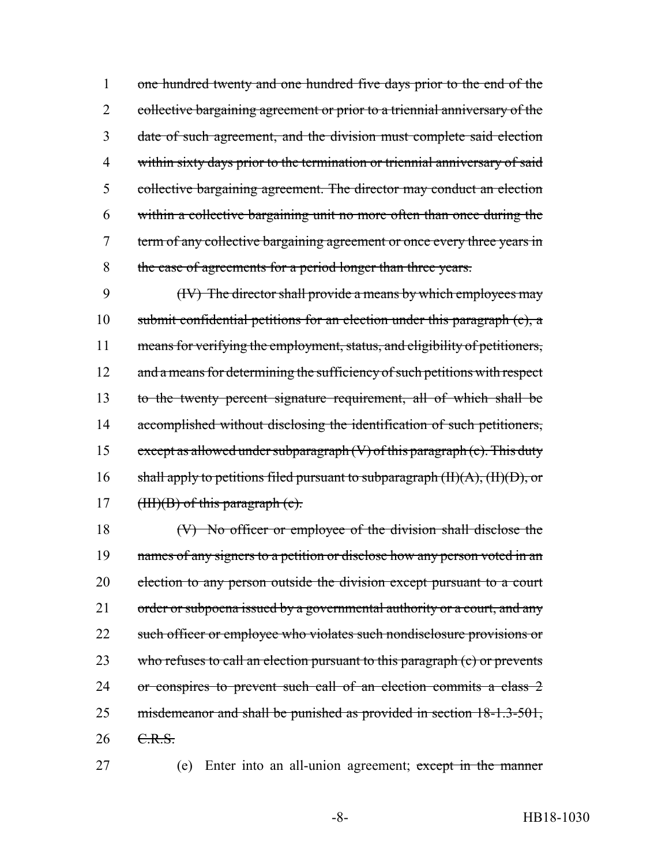one hundred twenty and one hundred five days prior to the end of the 2 collective bargaining agreement or prior to a triennial anniversary of the date of such agreement, and the division must complete said election within sixty days prior to the termination or triennial anniversary of said collective bargaining agreement. The director may conduct an election within a collective bargaining unit no more often than once during the term of any collective bargaining agreement or once every three years in 8 the case of agreements for a period longer than three years.

9 (IV) The director shall provide a means by which employees may 10 submit confidential petitions for an election under this paragraph (c), a 11 means for verifying the employment, status, and eligibility of petitioners, 12 and a means for determining the sufficiency of such petitions with respect 13 to the twenty percent signature requirement, all of which shall be 14 accomplished without disclosing the identification of such petitioners, 15 except as allowed under subparagraph  $(V)$  of this paragraph  $(c)$ . This duty 16 shall apply to petitions filed pursuant to subparagraph  $(H)(A)$ ,  $(H)(D)$ , or 17 ( $HH$ )(B) of this paragraph (c).

18 (V) No officer or employee of the division shall disclose the 19 names of any signers to a petition or disclose how any person voted in an 20 election to any person outside the division except pursuant to a court 21 order or subpoena issued by a governmental authority or a court, and any 22 such officer or employee who violates such nondisclosure provisions or 23 who refuses to call an election pursuant to this paragraph (c) or prevents 24 or conspires to prevent such call of an election commits a class 2 25 misdemeanor and shall be punished as provided in section 18-1.3-501, 26 C.R.S.

27 (e) Enter into an all-union agreement; except in the manner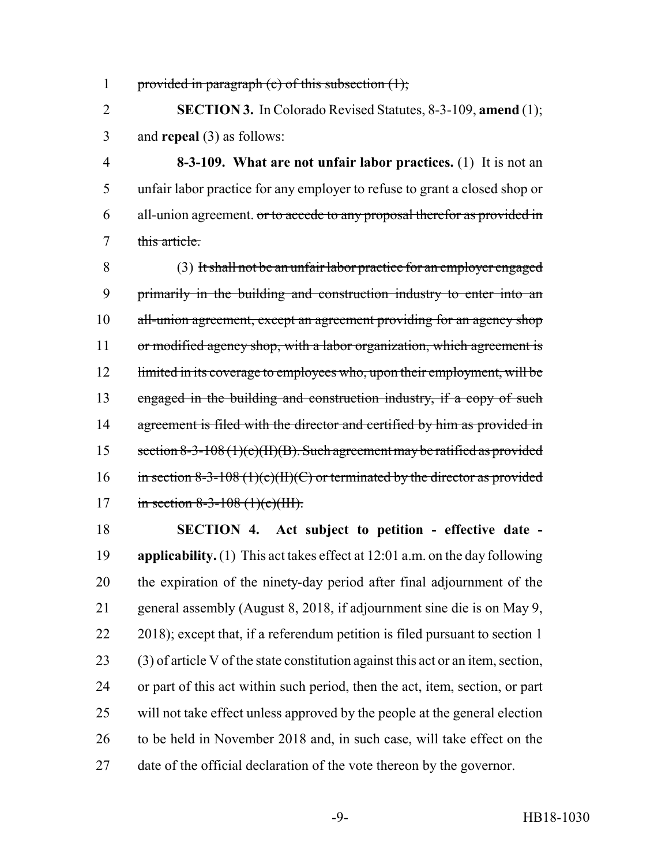1 provided in paragraph (c) of this subsection  $(1)$ ;

 **SECTION 3.** In Colorado Revised Statutes, 8-3-109, **amend** (1); and **repeal** (3) as follows:

 **8-3-109. What are not unfair labor practices.** (1) It is not an unfair labor practice for any employer to refuse to grant a closed shop or 6 all-union agreement. or to accede to any proposal therefor as provided in this article.

 (3) It shall not be an unfair labor practice for an employer engaged primarily in the building and construction industry to enter into an 10 all-union agreement, except an agreement providing for an agency shop 11 or modified agency shop, with a labor organization, which agreement is 12 limited in its coverage to employees who, upon their employment, will be engaged in the building and construction industry, if a copy of such 14 agreement is filed with the director and certified by him as provided in 15 section 8-3-108 (1)(c)(II)(B). Such agreement may be ratified as provided 16 in section 8-3-108 (1)(c)(II)(C) or terminated by the director as provided 17 in section 8-3-108 (1)(e)(III).

 **SECTION 4. Act subject to petition - effective date - applicability.** (1) This act takes effect at 12:01 a.m. on the day following the expiration of the ninety-day period after final adjournment of the general assembly (August 8, 2018, if adjournment sine die is on May 9, 22 2018); except that, if a referendum petition is filed pursuant to section 1 (3) of article V of the state constitution against this act or an item, section, or part of this act within such period, then the act, item, section, or part will not take effect unless approved by the people at the general election to be held in November 2018 and, in such case, will take effect on the date of the official declaration of the vote thereon by the governor.